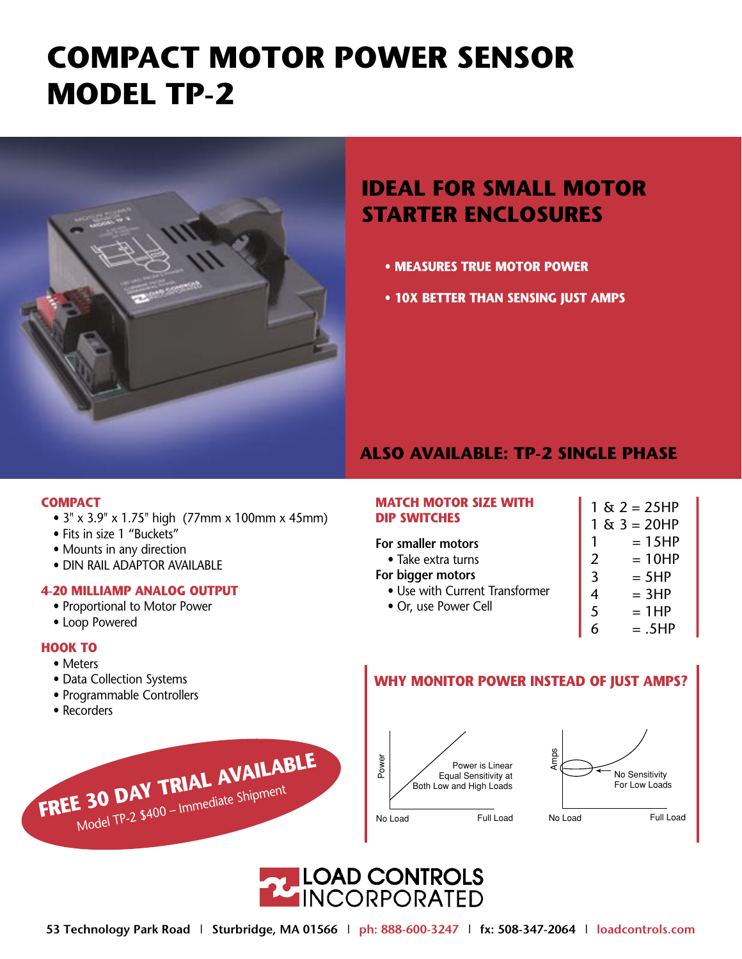# **COMPACT MOTOR POWER SENSOR MODEL TP-2**



## **IDEAL FOR SMALL MOTOR STARTER ENCLOSURES**

- **MEASURES TRUE MOTOR POWER**
- 10X BETTER THAN SENSING JUST AMPS

### **ALSO AVAILABLE: TP-2 SINGLE PHASE**

### **COMPACT**

• 3" x 3.9" x 1.75" high (77mm x 100mm x 45mm)

FREE 30 DAY TRIAL AVAILABLE

Model TP-2 \$400 - Immediate Shipment

- Fits in size 1 "Buckets"
- Mounts in any direction
- · DIN RAIL ADAPTOR AVAILABLE

### **4-20 MILLIAMP ANALOG OUTPUT**

- Proportional to Motor Power
- Loop Powered

### **HOOK TO**

- Meters
- Data Collection Systems
- Programmable Controllers
- Recorders

### **MATCH MOTOR SIZE WITH DIP SWITCHES**

### For smaller motors

- Take extra turns
- For bigger motors
	- Use with Current Transformer
	- Or, use Power Cell
- $1 & 2 = 25HP$  $1 & 3 = 20HP$  $= 15HP$  $\mathbf{1}$  $\overline{2}$  $= 10HP$  $\overline{3}$  $= 5HP$  $= 3HP$  $\overline{4}$ 5  $= 1HP$ 6  $=.5HP$

### WHY MONITOR POWER INSTEAD OF JUST AMPS?